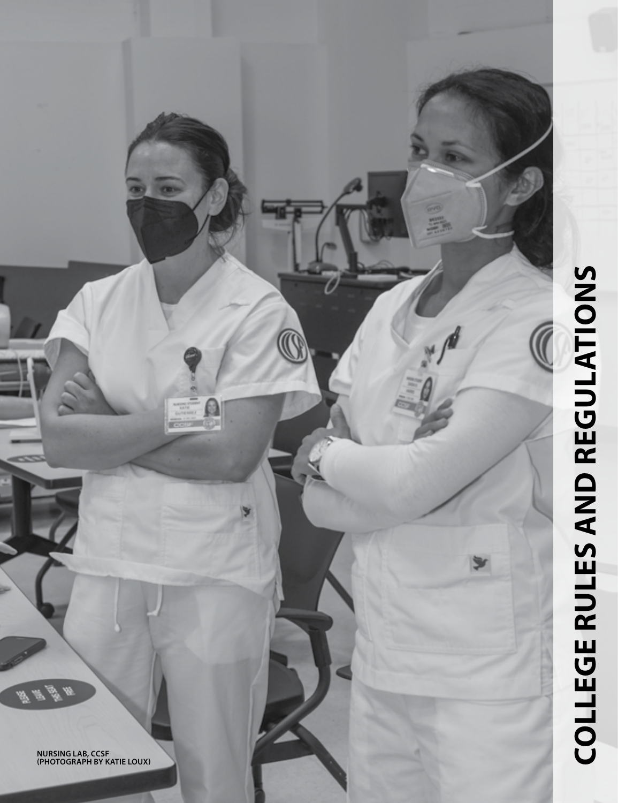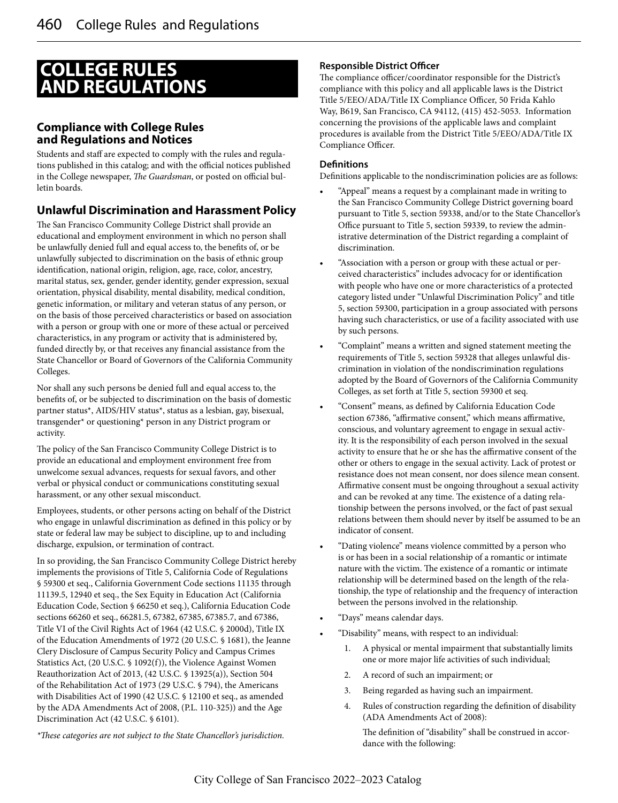# **COLLEGE RULES AND REGULATIONS**

# **Compliance with College Rules and Regulations and Notices**

Students and staff are expected to comply with the rules and regulations published in this catalog; and with the official notices published in the College newspaper, *The Guardsman*, or posted on official bulletin boards.

# **Unlawful Discrimination and Harassment Policy**

The San Francisco Community College District shall provide an educational and employment environment in which no person shall be unlawfully denied full and equal access to, the benefits of, or be unlawfully subjected to discrimination on the basis of ethnic group identification, national origin, religion, age, race, color, ancestry, marital status, sex, gender, gender identity, gender expression, sexual orientation, physical disability, mental disability, medical condition, genetic information, or military and veteran status of any person, or on the basis of those perceived characteristics or based on association with a person or group with one or more of these actual or perceived characteristics, in any program or activity that is administered by, funded directly by, or that receives any financial assistance from the State Chancellor or Board of Governors of the California Community Colleges.

Nor shall any such persons be denied full and equal access to, the benefits of, or be subjected to discrimination on the basis of domestic partner status\*, AIDS/HIV status\*, status as a lesbian, gay, bisexual, transgender\* or questioning\* person in any District program or activity.

The policy of the San Francisco Community College District is to provide an educational and employment environment free from unwelcome sexual advances, requests for sexual favors, and other verbal or physical conduct or communications constituting sexual harassment, or any other sexual misconduct.

Employees, students, or other persons acting on behalf of the District who engage in unlawful discrimination as defined in this policy or by state or federal law may be subject to discipline, up to and including discharge, expulsion, or termination of contract.

In so providing, the San Francisco Community College District hereby implements the provisions of Title 5, California Code of Regulations § 59300 et seq., California Government Code sections 11135 through 11139.5, 12940 et seq., the Sex Equity in Education Act (California Education Code, Section § 66250 et seq.), California Education Code sections 66260 et seq., 66281.5, 67382, 67385, 67385.7, and 67386, Title VI of the Civil Rights Act of 1964 (42 U.S.C. § 2000d), Title IX of the Education Amendments of 1972 (20 U.S.C. § 1681), the Jeanne Clery Disclosure of Campus Security Policy and Campus Crimes Statistics Act, (20 U.S.C. § 1092(f)), the Violence Against Women Reauthorization Act of 2013, (42 U.S.C. § 13925(a)), Section 504 of the Rehabilitation Act of 1973 (29 U.S.C. § 794), the Americans with Disabilities Act of 1990 (42 U.S.C. § 12100 et seq., as amended by the ADA Amendments Act of 2008, (P.L. 110-325)) and the Age Discrimination Act (42 U.S.C. § 6101).

*\*These categories are not subject to the State Chancellor's jurisdiction.*

#### **Responsible District Officer**

The compliance officer/coordinator responsible for the District's compliance with this policy and all applicable laws is the District Title 5/EEO/ADA/Title IX Compliance Officer, 50 Frida Kahlo Way, B619, San Francisco, CA 94112, (415) 452-5053. Information concerning the provisions of the applicable laws and complaint procedures is available from the District Title 5/EEO/ADA/Title IX Compliance Officer.

#### **Definitions**

Definitions applicable to the nondiscrimination policies are as follows:

- "Appeal" means a request by a complainant made in writing to the San Francisco Community College District governing board pursuant to Title 5, section 59338, and/or to the State Chancellor's Office pursuant to Title 5, section 59339, to review the administrative determination of the District regarding a complaint of discrimination.
- "Association with a person or group with these actual or perceived characteristics" includes advocacy for or identification with people who have one or more characteristics of a protected category listed under "Unlawful Discrimination Policy" and title 5, section 59300, participation in a group associated with persons having such characteristics, or use of a facility associated with use by such persons.
- "Complaint" means a written and signed statement meeting the requirements of Title 5, section 59328 that alleges unlawful discrimination in violation of the nondiscrimination regulations adopted by the Board of Governors of the California Community Colleges, as set forth at Title 5, section 59300 et seq.
- "Consent" means, as defined by California Education Code section 67386, "affirmative consent," which means affirmative, conscious, and voluntary agreement to engage in sexual activity. It is the responsibility of each person involved in the sexual activity to ensure that he or she has the affirmative consent of the other or others to engage in the sexual activity. Lack of protest or resistance does not mean consent, nor does silence mean consent. Affirmative consent must be ongoing throughout a sexual activity and can be revoked at any time. The existence of a dating relationship between the persons involved, or the fact of past sexual relations between them should never by itself be assumed to be an indicator of consent.
- "Dating violence" means violence committed by a person who is or has been in a social relationship of a romantic or intimate nature with the victim. The existence of a romantic or intimate relationship will be determined based on the length of the relationship, the type of relationship and the frequency of interaction between the persons involved in the relationship.
- "Days" means calendar days.
- "Disability" means, with respect to an individual:
	- 1. A physical or mental impairment that substantially limits one or more major life activities of such individual;
	- 2. A record of such an impairment; or
	- 3. Being regarded as having such an impairment.
	- 4. Rules of construction regarding the definition of disability (ADA Amendments Act of 2008):

The definition of "disability" shall be construed in accordance with the following: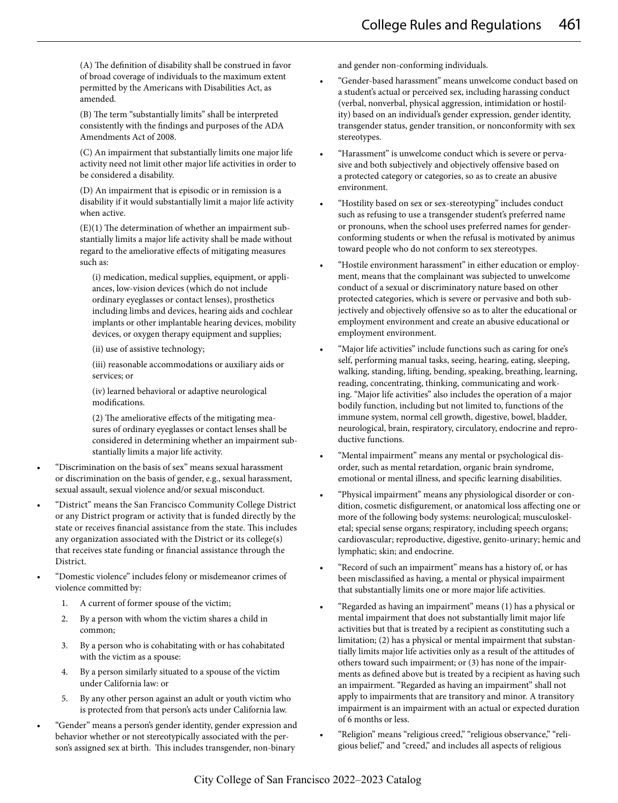(A) The definition of disability shall be construed in favor of broad coverage of individuals to the maximum extent permitted by the Americans with Disabilities Act, as amended.

(B) The term "substantially limits" shall be interpreted consistently with the findings and purposes of the ADA Amendments Act of 2008.

(C) An impairment that substantially limits one major life activity need not limit other major life activities in order to be considered a disability.

(D) An impairment that is episodic or in remission is a disability if it would substantially limit a major life activity when active.

(E)(1) The determination of whether an impairment substantially limits a major life activity shall be made without regard to the ameliorative effects of mitigating measures such as:

(i) medication, medical supplies, equipment, or appliances, low-vision devices (which do not include ordinary eyeglasses or contact lenses), prosthetics including limbs and devices, hearing aids and cochlear implants or other implantable hearing devices, mobility devices, or oxygen therapy equipment and supplies;

(ii) use of assistive technology;

(iii) reasonable accommodations or auxiliary aids or services; or

(iv) learned behavioral or adaptive neurological modifications.

(2) The ameliorative effects of the mitigating measures of ordinary eyeglasses or contact lenses shall be considered in determining whether an impairment substantially limits a major life activity.

- "Discrimination on the basis of sex" means sexual harassment or discrimination on the basis of gender, e.g., sexual harassment, sexual assault, sexual violence and/or sexual misconduct.
- "District" means the San Francisco Community College District or any District program or activity that is funded directly by the state or receives financial assistance from the state. This includes any organization associated with the District or its college(s) that receives state funding or financial assistance through the District.
- "Domestic violence" includes felony or misdemeanor crimes of violence committed by:
	- 1. A current of former spouse of the victim;
	- 2. By a person with whom the victim shares a child in common;
	- 3. By a person who is cohabitating with or has cohabitated with the victim as a spouse:
	- 4. By a person similarly situated to a spouse of the victim under California law: or
	- 5. By any other person against an adult or youth victim who is protected from that person's acts under California law.
- "Gender" means a person's gender identity, gender expression and behavior whether or not stereotypically associated with the person's assigned sex at birth. This includes transgender, non-binary

and gender non-conforming individuals.

- "Gender-based harassment" means unwelcome conduct based on a student's actual or perceived sex, including harassing conduct (verbal, nonverbal, physical aggression, intimidation or hostility) based on an individual's gender expression, gender identity, transgender status, gender transition, or nonconformity with sex stereotypes.
- "Harassment" is unwelcome conduct which is severe or pervasive and both subjectively and objectively offensive based on a protected category or categories, so as to create an abusive environment.
- "Hostility based on sex or sex-stereotyping" includes conduct such as refusing to use a transgender student's preferred name or pronouns, when the school uses preferred names for genderconforming students or when the refusal is motivated by animus toward people who do not conform to sex stereotypes.
- "Hostile environment harassment" in either education or employment, means that the complainant was subjected to unwelcome conduct of a sexual or discriminatory nature based on other protected categories, which is severe or pervasive and both subjectively and objectively offensive so as to alter the educational or employment environment and create an abusive educational or employment environment.
- "Major life activities" include functions such as caring for one's self, performing manual tasks, seeing, hearing, eating, sleeping, walking, standing, lifting, bending, speaking, breathing, learning, reading, concentrating, thinking, communicating and working. "Major life activities" also includes the operation of a major bodily function, including but not limited to, functions of the immune system, normal cell growth, digestive, bowel, bladder, neurological, brain, respiratory, circulatory, endocrine and reproductive functions.
- "Mental impairment" means any mental or psychological disorder, such as mental retardation, organic brain syndrome, emotional or mental illness, and specific learning disabilities.
- "Physical impairment" means any physiological disorder or condition, cosmetic disfigurement, or anatomical loss affecting one or more of the following body systems: neurological; musculoskeletal; special sense organs; respiratory, including speech organs; cardiovascular; reproductive, digestive, genito-urinary; hemic and lymphatic; skin; and endocrine.
- "Record of such an impairment" means has a history of, or has been misclassified as having, a mental or physical impairment that substantially limits one or more major life activities.
- "Regarded as having an impairment" means (1) has a physical or mental impairment that does not substantially limit major life activities but that is treated by a recipient as constituting such a limitation; (2) has a physical or mental impairment that substantially limits major life activities only as a result of the attitudes of others toward such impairment; or (3) has none of the impairments as defined above but is treated by a recipient as having such an impairment. "Regarded as having an impairment" shall not apply to impairments that are transitory and minor. A transitory impairment is an impairment with an actual or expected duration of 6 months or less.
- "Religion" means "religious creed," "religious observance," "religious belief," and "creed," and includes all aspects of religious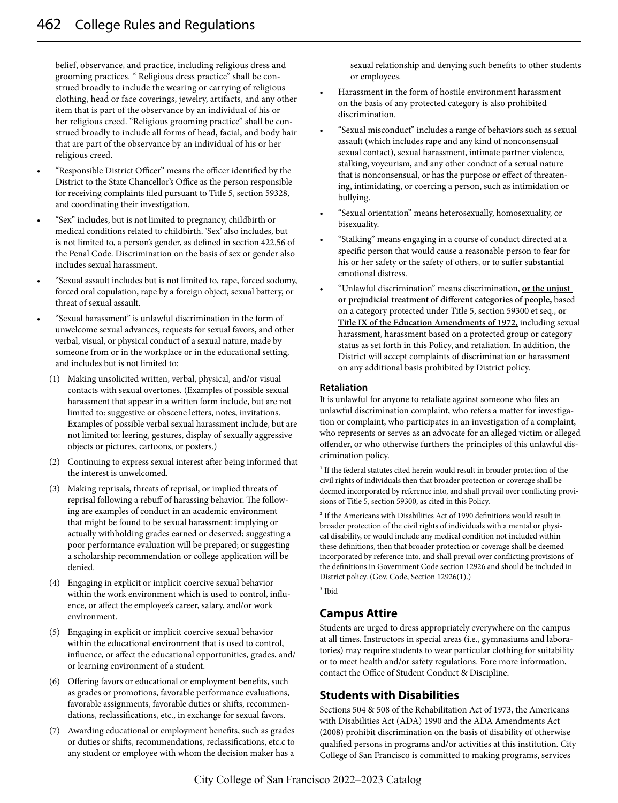belief, observance, and practice, including religious dress and grooming practices. " Religious dress practice" shall be construed broadly to include the wearing or carrying of religious clothing, head or face coverings, jewelry, artifacts, and any other item that is part of the observance by an individual of his or her religious creed. "Religious grooming practice" shall be construed broadly to include all forms of head, facial, and body hair that are part of the observance by an individual of his or her religious creed.

- "Responsible District Officer" means the officer identified by the District to the State Chancellor's Office as the person responsible for receiving complaints filed pursuant to Title 5, section 59328, and coordinating their investigation.
- "Sex" includes, but is not limited to pregnancy, childbirth or medical conditions related to childbirth. 'Sex' also includes, but is not limited to, a person's gender, as defined in section 422.56 of the Penal Code. Discrimination on the basis of sex or gender also includes sexual harassment.
- "Sexual assault includes but is not limited to, rape, forced sodomy, forced oral copulation, rape by a foreign object, sexual battery, or threat of sexual assault.
- "Sexual harassment" is unlawful discrimination in the form of unwelcome sexual advances, requests for sexual favors, and other verbal, visual, or physical conduct of a sexual nature, made by someone from or in the workplace or in the educational setting, and includes but is not limited to:
	- (1) Making unsolicited written, verbal, physical, and/or visual contacts with sexual overtones. (Examples of possible sexual harassment that appear in a written form include, but are not limited to: suggestive or obscene letters, notes, invitations. Examples of possible verbal sexual harassment include, but are not limited to: leering, gestures, display of sexually aggressive objects or pictures, cartoons, or posters.)
	- (2) Continuing to express sexual interest after being informed that the interest is unwelcomed.
	- (3) Making reprisals, threats of reprisal, or implied threats of reprisal following a rebuff of harassing behavior. The following are examples of conduct in an academic environment that might be found to be sexual harassment: implying or actually withholding grades earned or deserved; suggesting a poor performance evaluation will be prepared; or suggesting a scholarship recommendation or college application will be denied.
	- (4) Engaging in explicit or implicit coercive sexual behavior within the work environment which is used to control, influence, or affect the employee's career, salary, and/or work environment.
	- (5) Engaging in explicit or implicit coercive sexual behavior within the educational environment that is used to control, influence, or affect the educational opportunities, grades, and/ or learning environment of a student.
	- (6) Offering favors or educational or employment benefits, such as grades or promotions, favorable performance evaluations, favorable assignments, favorable duties or shifts, recommendations, reclassifications, etc., in exchange for sexual favors.
	- (7) Awarding educational or employment benefits, such as grades or duties or shifts, recommendations, reclassifications, etc.c to any student or employee with whom the decision maker has a

sexual relationship and denying such benefits to other students or employees.

- Harassment in the form of hostile environment harassment on the basis of any protected category is also prohibited discrimination.
- "Sexual misconduct" includes a range of behaviors such as sexual assault (which includes rape and any kind of nonconsensual sexual contact), sexual harassment, intimate partner violence, stalking, voyeurism, and any other conduct of a sexual nature that is nonconsensual, or has the purpose or effect of threatening, intimidating, or coercing a person, such as intimidation or bullying.
- "Sexual orientation" means heterosexually, homosexuality, or bisexuality.
- "Stalking" means engaging in a course of conduct directed at a specific person that would cause a reasonable person to fear for his or her safety or the safety of others, or to suffer substantial emotional distress.
- "Unlawful discrimination" means discrimination, **or the unjust or prejudicial treatment of different categories of people,** based on a category protected under Title 5, section 59300 et seq., **or Title IX of the Education Amendments of 1972,** including sexual harassment, harassment based on a protected group or category status as set forth in this Policy, and retaliation. In addition, the District will accept complaints of discrimination or harassment on any additional basis prohibited by District policy.

#### **Retaliation**

It is unlawful for anyone to retaliate against someone who files an unlawful discrimination complaint, who refers a matter for investigation or complaint, who participates in an investigation of a complaint, who represents or serves as an advocate for an alleged victim or alleged offender, or who otherwise furthers the principles of this unlawful discrimination policy.

<sup>1</sup> If the federal statutes cited herein would result in broader protection of the civil rights of individuals then that broader protection or coverage shall be deemed incorporated by reference into, and shall prevail over conflicting provisions of Title 5, section 59300, as cited in this Policy.

2 If the Americans with Disabilities Act of 1990 definitions would result in broader protection of the civil rights of individuals with a mental or physical disability, or would include any medical condition not included within these definitions, then that broader protection or coverage shall be deemed incorporated by reference into, and shall prevail over conflicting provisions of the definitions in Government Code section 12926 and should be included in District policy. (Gov. Code, Section 12926(1).)

3 Ibid

# **Campus Attire**

Students are urged to dress appropriately everywhere on the campus at all times. Instructors in special areas (i.e., gymnasiums and laboratories) may require students to wear particular clothing for suitability or to meet health and/or safety regulations. Fore more information, contact the Office of Student Conduct & Discipline.

# **Students with Disabilities**

Sections 504 & 508 of the Rehabilitation Act of 1973, the Americans with Disabilities Act (ADA) 1990 and the ADA Amendments Act (2008) prohibit discrimination on the basis of disability of otherwise qualified persons in programs and/or activities at this institution. City College of San Francisco is committed to making programs, services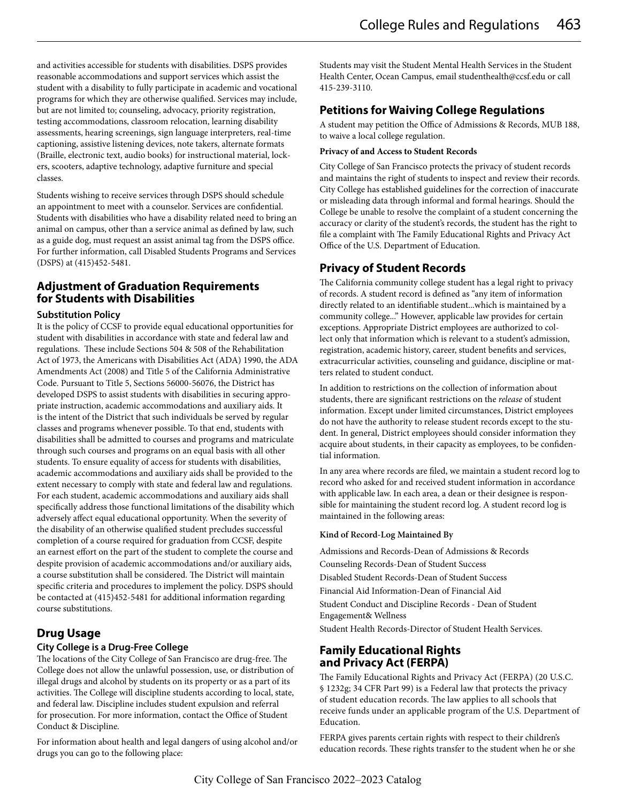and activities accessible for students with disabilities. DSPS provides reasonable accommodations and support services which assist the student with a disability to fully participate in academic and vocational programs for which they are otherwise qualified. Services may include, but are not limited to; counseling, advocacy, priority registration, testing accommodations, classroom relocation, learning disability assessments, hearing screenings, sign language interpreters, real-time captioning, assistive listening devices, note takers, alternate formats (Braille, electronic text, audio books) for instructional material, lockers, scooters, adaptive technology, adaptive furniture and special classes.

Students wishing to receive services through DSPS should schedule an appointment to meet with a counselor. Services are confidential. Students with disabilities who have a disability related need to bring an animal on campus, other than a service animal as defined by law, such as a guide dog, must request an assist animal tag from the DSPS office. For further information, call Disabled Students Programs and Services (DSPS) at (415)452-5481.

### **Adjustment of Graduation Requirements for Students with Disabilities**

#### **Substitution Policy**

It is the policy of CCSF to provide equal educational opportunities for student with disabilities in accordance with state and federal law and regulations. These include Sections 504 & 508 of the Rehabilitation Act of 1973, the Americans with Disabilities Act (ADA) 1990, the ADA Amendments Act (2008) and Title 5 of the California Administrative Code. Pursuant to Title 5, Sections 56000-56076, the District has developed DSPS to assist students with disabilities in securing appropriate instruction, academic accommodations and auxiliary aids. It is the intent of the District that such individuals be served by regular classes and programs whenever possible. To that end, students with disabilities shall be admitted to courses and programs and matriculate through such courses and programs on an equal basis with all other students. To ensure equality of access for students with disabilities, academic accommodations and auxiliary aids shall be provided to the extent necessary to comply with state and federal law and regulations. For each student, academic accommodations and auxiliary aids shall specifically address those functional limitations of the disability which adversely affect equal educational opportunity. When the severity of the disability of an otherwise qualified student precludes successful completion of a course required for graduation from CCSF, despite an earnest effort on the part of the student to complete the course and despite provision of academic accommodations and/or auxiliary aids, a course substitution shall be considered. The District will maintain specific criteria and procedures to implement the policy. DSPS should be contacted at (415)452-5481 for additional information regarding course substitutions.

# **Drug Usage**

### **City College is a Drug-Free College**

The locations of the City College of San Francisco are drug-free. The College does not allow the unlawful possession, use, or distribution of illegal drugs and alcohol by students on its property or as a part of its activities. The College will discipline students according to local, state, and federal law. Discipline includes student expulsion and referral for prosecution. For more information, contact the Office of Student Conduct & Discipline.

For information about health and legal dangers of using alcohol and/or drugs you can go to the following place:

Students may visit the Student Mental Health Services in the Student Health Center, Ocean Campus, email studenthealth@ccsf.edu or call 415-239-3110.

# **Petitions for Waiving College Regulations**

A student may petition the Office of Admissions & Records, MUB 188, to waive a local college regulation.

#### **Privacy of and Access to Student Records**

City College of San Francisco protects the privacy of student records and maintains the right of students to inspect and review their records. City College has established guidelines for the correction of inaccurate or misleading data through informal and formal hearings. Should the College be unable to resolve the complaint of a student concerning the accuracy or clarity of the student's records, the student has the right to file a complaint with The Family Educational Rights and Privacy Act Office of the U.S. Department of Education.

### **Privacy of Student Records**

The California community college student has a legal right to privacy of records. A student record is defined as "any item of information directly related to an identifiable student...which is maintained by a community college..." However, applicable law provides for certain exceptions. Appropriate District employees are authorized to collect only that information which is relevant to a student's admission, registration, academic history, career, student benefits and services, extracurricular activities, counseling and guidance, discipline or matters related to student conduct.

In addition to restrictions on the collection of information about students, there are significant restrictions on the *release* of student information. Except under limited circumstances, District employees do not have the authority to release student records except to the student. In general, District employees should consider information they acquire about students, in their capacity as employees, to be confidential information.

In any area where records are filed, we maintain a student record log to record who asked for and received student information in accordance with applicable law. In each area, a dean or their designee is responsible for maintaining the student record log. A student record log is maintained in the following areas:

#### **Kind of Record-Log Maintained By**

Admissions and Records-Dean of Admissions & Records Counseling Records-Dean of Student Success Disabled Student Records-Dean of Student Success Financial Aid Information-Dean of Financial Aid Student Conduct and Discipline Records - Dean of Student Engagement& Wellness Student Health Records-Director of Student Health Services.

### **Family Educational Rights and Privacy Act (FERPA)**

The Family Educational Rights and Privacy Act (FERPA) (20 U.S.C. § 1232g; 34 CFR Part 99) is a Federal law that protects the privacy of student education records. The law applies to all schools that receive funds under an applicable program of the U.S. Department of Education.

FERPA gives parents certain rights with respect to their children's education records. These rights transfer to the student when he or she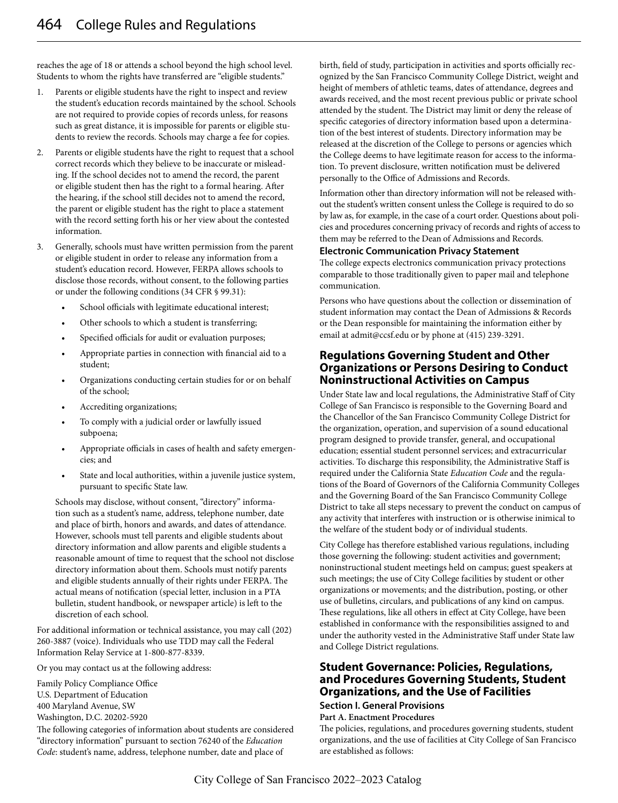reaches the age of 18 or attends a school beyond the high school level. Students to whom the rights have transferred are "eligible students."

- 1. Parents or eligible students have the right to inspect and review the student's education records maintained by the school. Schools are not required to provide copies of records unless, for reasons such as great distance, it is impossible for parents or eligible students to review the records. Schools may charge a fee for copies.
- 2. Parents or eligible students have the right to request that a school correct records which they believe to be inaccurate or misleading. If the school decides not to amend the record, the parent or eligible student then has the right to a formal hearing. After the hearing, if the school still decides not to amend the record, the parent or eligible student has the right to place a statement with the record setting forth his or her view about the contested information.
- 3. Generally, schools must have written permission from the parent or eligible student in order to release any information from a student's education record. However, FERPA allows schools to disclose those records, without consent, to the following parties or under the following conditions (34 CFR § 99.31):
	- School officials with legitimate educational interest;
	- Other schools to which a student is transferring;
	- Specified officials for audit or evaluation purposes;
	- Appropriate parties in connection with financial aid to a student;
	- Organizations conducting certain studies for or on behalf of the school;
	- Accrediting organizations;
	- To comply with a judicial order or lawfully issued subpoena;
	- Appropriate officials in cases of health and safety emergencies; and
	- State and local authorities, within a juvenile justice system, pursuant to specific State law.

Schools may disclose, without consent, "directory" information such as a student's name, address, telephone number, date and place of birth, honors and awards, and dates of attendance. However, schools must tell parents and eligible students about directory information and allow parents and eligible students a reasonable amount of time to request that the school not disclose directory information about them. Schools must notify parents and eligible students annually of their rights under FERPA. The actual means of notification (special letter, inclusion in a PTA bulletin, student handbook, or newspaper article) is left to the discretion of each school.

For additional information or technical assistance, you may call (202) 260-3887 (voice). Individuals who use TDD may call the Federal Information Relay Service at 1-800-877-8339.

Or you may contact us at the following address:

Family Policy Compliance Office U.S. Department of Education 400 Maryland Avenue, SW Washington, D.C. 20202-5920

The following categories of information about students are considered "directory information" pursuant to section 76240 of the *Education Code*: student's name, address, telephone number, date and place of

birth, field of study, participation in activities and sports officially recognized by the San Francisco Community College District, weight and height of members of athletic teams, dates of attendance, degrees and awards received, and the most recent previous public or private school attended by the student. The District may limit or deny the release of specific categories of directory information based upon a determination of the best interest of students. Directory information may be released at the discretion of the College to persons or agencies which the College deems to have legitimate reason for access to the information. To prevent disclosure, written notification must be delivered personally to the Office of Admissions and Records.

Information other than directory information will not be released without the student's written consent unless the College is required to do so by law as, for example, in the case of a court order. Questions about policies and procedures concerning privacy of records and rights of access to them may be referred to the Dean of Admissions and Records.

#### **Electronic Communication Privacy Statement**

The college expects electronics communication privacy protections comparable to those traditionally given to paper mail and telephone communication.

Persons who have questions about the collection or dissemination of student information may contact the Dean of Admissions & Records or the Dean responsible for maintaining the information either by email at admit@ccsf.edu or by phone at (415) 239-3291.

### **Regulations Governing Student and Other Organizations or Persons Desiring to Conduct Noninstructional Activities on Campus**

Under State law and local regulations, the Administrative Staff of City College of San Francisco is responsible to the Governing Board and the Chancellor of the San Francisco Community College District for the organization, operation, and supervision of a sound educational program designed to provide transfer, general, and occupational education; essential student personnel services; and extracurricular activities. To discharge this responsibility, the Administrative Staff is required under the California State *Education Code* and the regulations of the Board of Governors of the California Community Colleges and the Governing Board of the San Francisco Community College District to take all steps necessary to prevent the conduct on campus of any activity that interferes with instruction or is otherwise inimical to the welfare of the student body or of individual students.

City College has therefore established various regulations, including those governing the following: student activities and government; noninstructional student meetings held on campus; guest speakers at such meetings; the use of City College facilities by student or other organizations or movements; and the distribution, posting, or other use of bulletins, circulars, and publications of any kind on campus. These regulations, like all others in effect at City College, have been established in conformance with the responsibilities assigned to and under the authority vested in the Administrative Staff under State law and College District regulations.

### **Student Governance: Policies, Regulations, and Procedures Governing Students, Student Organizations, and the Use of Facilities**

#### **Section I. General Provisions**

**Part A. Enactment Procedures**

The policies, regulations, and procedures governing students, student organizations, and the use of facilities at City College of San Francisco are established as follows: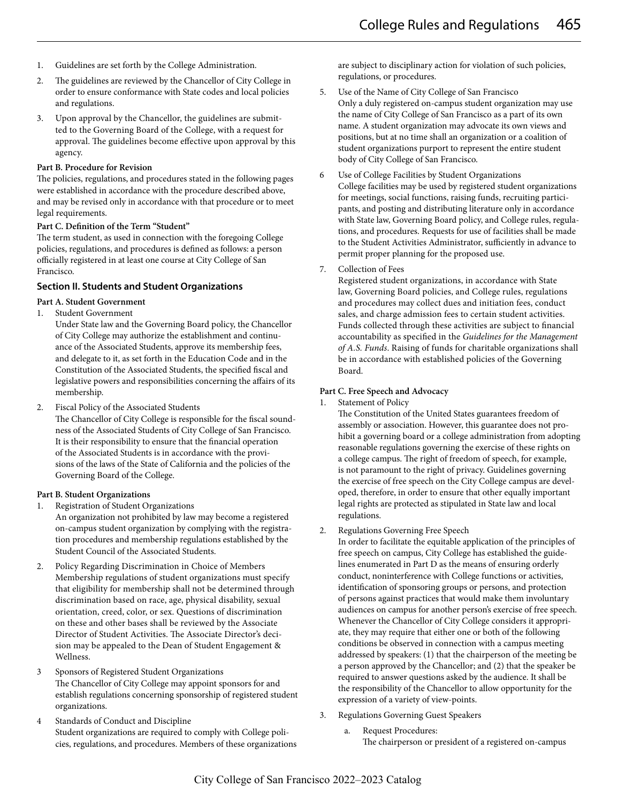- 1. Guidelines are set forth by the College Administration.
- 2. The guidelines are reviewed by the Chancellor of City College in order to ensure conformance with State codes and local policies and regulations.
- 3. Upon approval by the Chancellor, the guidelines are submitted to the Governing Board of the College, with a request for approval. The guidelines become effective upon approval by this agency.

#### **Part B. Procedure for Revision**

The policies, regulations, and procedures stated in the following pages were established in accordance with the procedure described above, and may be revised only in accordance with that procedure or to meet legal requirements.

#### **Part C. Definition of the Term "Student"**

The term student, as used in connection with the foregoing College policies, regulations, and procedures is defined as follows: a person officially registered in at least one course at City College of San Francisco.

#### **Section II. Students and Student Organizations**

#### **Part A. Student Government**

- 1. Student Government
	- Under State law and the Governing Board policy, the Chancellor of City College may authorize the establishment and continuance of the Associated Students, approve its membership fees, and delegate to it, as set forth in the Education Code and in the Constitution of the Associated Students, the specified fiscal and legislative powers and responsibilities concerning the affairs of its membership.
- 2. Fiscal Policy of the Associated Students

The Chancellor of City College is responsible for the fiscal soundness of the Associated Students of City College of San Francisco. It is their responsibility to ensure that the financial operation of the Associated Students is in accordance with the provisions of the laws of the State of California and the policies of the Governing Board of the College.

#### **Part B. Student Organizations**

- 1. Registration of Student Organizations An organization not prohibited by law may become a registered on-campus student organization by complying with the registration procedures and membership regulations established by the Student Council of the Associated Students.
- 2. Policy Regarding Discrimination in Choice of Members Membership regulations of student organizations must specify that eligibility for membership shall not be determined through discrimination based on race, age, physical disability, sexual orientation, creed, color, or sex. Questions of discrimination on these and other bases shall be reviewed by the Associate Director of Student Activities. The Associate Director's decision may be appealed to the Dean of Student Engagement & Wellness.
- 3 Sponsors of Registered Student Organizations The Chancellor of City College may appoint sponsors for and establish regulations concerning sponsorship of registered student organizations.
- 4 Standards of Conduct and Discipline Student organizations are required to comply with College policies, regulations, and procedures. Members of these organizations

are subject to disciplinary action for violation of such policies, regulations, or procedures.

- 5. Use of the Name of City College of San Francisco Only a duly registered on-campus student organization may use the name of City College of San Francisco as a part of its own name. A student organization may advocate its own views and positions, but at no time shall an organization or a coalition of student organizations purport to represent the entire student body of City College of San Francisco.
- 6 Use of College Facilities by Student Organizations College facilities may be used by registered student organizations for meetings, social functions, raising funds, recruiting participants, and posting and distributing literature only in accordance with State law, Governing Board policy, and College rules, regulations, and procedures. Requests for use of facilities shall be made to the Student Activities Administrator, sufficiently in advance to permit proper planning for the proposed use.
- 7. Collection of Fees

Registered student organizations, in accordance with State law, Governing Board policies, and College rules, regulations and procedures may collect dues and initiation fees, conduct sales, and charge admission fees to certain student activities. Funds collected through these activities are subject to financial accountability as specified in the *Guidelines for the Management of A.S. Funds*. Raising of funds for charitable organizations shall be in accordance with established policies of the Governing Board.

#### **Part C. Free Speech and Advocacy**

1. Statement of Policy

The Constitution of the United States guarantees freedom of assembly or association. However, this guarantee does not prohibit a governing board or a college administration from adopting reasonable regulations governing the exercise of these rights on a college campus. The right of freedom of speech, for example, is not paramount to the right of privacy. Guidelines governing the exercise of free speech on the City College campus are developed, therefore, in order to ensure that other equally important legal rights are protected as stipulated in State law and local regulations.

2. Regulations Governing Free Speech

In order to facilitate the equitable application of the principles of free speech on campus, City College has established the guidelines enumerated in Part D as the means of ensuring orderly conduct, noninterference with College functions or activities, identification of sponsoring groups or persons, and protection of persons against practices that would make them involuntary audiences on campus for another person's exercise of free speech. Whenever the Chancellor of City College considers it appropriate, they may require that either one or both of the following conditions be observed in connection with a campus meeting addressed by speakers: (1) that the chairperson of the meeting be a person approved by the Chancellor; and (2) that the speaker be required to answer questions asked by the audience. It shall be the responsibility of the Chancellor to allow opportunity for the expression of a variety of view-points.

- 3. Regulations Governing Guest Speakers
	- a. Request Procedures:
		- The chairperson or president of a registered on-campus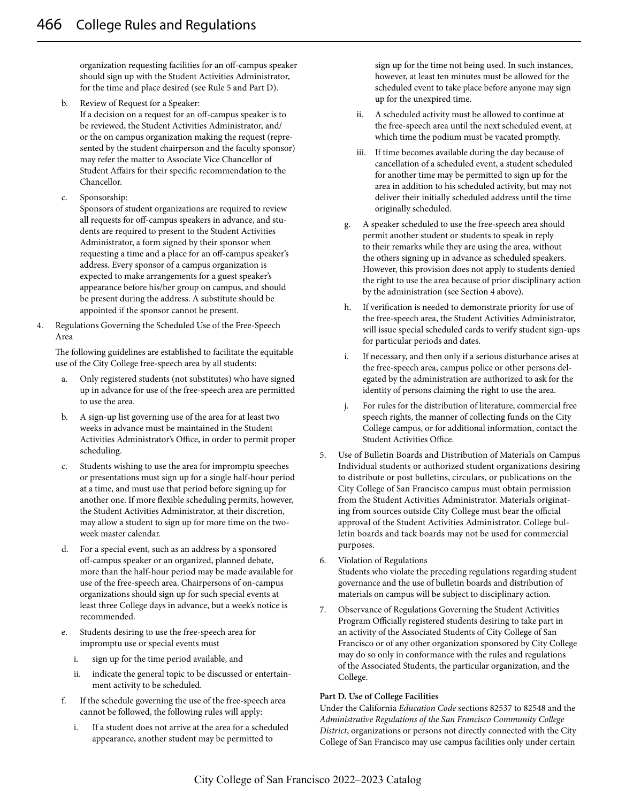organization requesting facilities for an off-campus speaker should sign up with the Student Activities Administrator, for the time and place desired (see Rule 5 and Part D).

- b. Review of Request for a Speaker: If a decision on a request for an off-campus speaker is to be reviewed, the Student Activities Administrator, and/ or the on campus organization making the request (represented by the student chairperson and the faculty sponsor) may refer the matter to Associate Vice Chancellor of Student Affairs for their specific recommendation to the Chancellor.
- c. Sponsorship:

Sponsors of student organizations are required to review all requests for off-campus speakers in advance, and students are required to present to the Student Activities Administrator, a form signed by their sponsor when requesting a time and a place for an off-campus speaker's address. Every sponsor of a campus organization is expected to make arrangements for a guest speaker's appearance before his/her group on campus, and should be present during the address. A substitute should be appointed if the sponsor cannot be present.

4. Regulations Governing the Scheduled Use of the Free-Speech Area

The following guidelines are established to facilitate the equitable use of the City College free-speech area by all students:

- a. Only registered students (not substitutes) who have signed up in advance for use of the free-speech area are permitted to use the area.
- b. A sign-up list governing use of the area for at least two weeks in advance must be maintained in the Student Activities Administrator's Office, in order to permit proper scheduling.
- c. Students wishing to use the area for impromptu speeches or presentations must sign up for a single half-hour period at a time, and must use that period before signing up for another one. If more flexible scheduling permits, however, the Student Activities Administrator, at their discretion, may allow a student to sign up for more time on the twoweek master calendar.
- d. For a special event, such as an address by a sponsored off-campus speaker or an organized, planned debate, more than the half-hour period may be made available for use of the free-speech area. Chairpersons of on-campus organizations should sign up for such special events at least three College days in advance, but a week's notice is recommended.
- e. Students desiring to use the free-speech area for impromptu use or special events must
	- i. sign up for the time period available, and
	- ii. indicate the general topic to be discussed or entertainment activity to be scheduled.
- f. If the schedule governing the use of the free-speech area cannot be followed, the following rules will apply:
	- i. If a student does not arrive at the area for a scheduled appearance, another student may be permitted to

sign up for the time not being used. In such instances, however, at least ten minutes must be allowed for the scheduled event to take place before anyone may sign up for the unexpired time.

- ii. A scheduled activity must be allowed to continue at the free-speech area until the next scheduled event, at which time the podium must be vacated promptly.
- iii. If time becomes available during the day because of cancellation of a scheduled event, a student scheduled for another time may be permitted to sign up for the area in addition to his scheduled activity, but may not deliver their initially scheduled address until the time originally scheduled.
- g. A speaker scheduled to use the free-speech area should permit another student or students to speak in reply to their remarks while they are using the area, without the others signing up in advance as scheduled speakers. However, this provision does not apply to students denied the right to use the area because of prior disciplinary action by the administration (see Section 4 above).
- h. If verification is needed to demonstrate priority for use of the free-speech area, the Student Activities Administrator, will issue special scheduled cards to verify student sign-ups for particular periods and dates.
- i. If necessary, and then only if a serious disturbance arises at the free-speech area, campus police or other persons delegated by the administration are authorized to ask for the identity of persons claiming the right to use the area.
- j. For rules for the distribution of literature, commercial free speech rights, the manner of collecting funds on the City College campus, or for additional information, contact the Student Activities Office.
- 5. Use of Bulletin Boards and Distribution of Materials on Campus Individual students or authorized student organizations desiring to distribute or post bulletins, circulars, or publications on the City College of San Francisco campus must obtain permission from the Student Activities Administrator. Materials originating from sources outside City College must bear the official approval of the Student Activities Administrator. College bulletin boards and tack boards may not be used for commercial purposes.
- 6. Violation of Regulations

Students who violate the preceding regulations regarding student governance and the use of bulletin boards and distribution of materials on campus will be subject to disciplinary action.

7. Observance of Regulations Governing the Student Activities Program Officially registered students desiring to take part in an activity of the Associated Students of City College of San Francisco or of any other organization sponsored by City College may do so only in conformance with the rules and regulations of the Associated Students, the particular organization, and the College.

#### **Part D. Use of College Facilities**

Under the California *Education Code* sections 82537 to 82548 and the *Administrative Regulations of the San Francisco Community College District*, organizations or persons not directly connected with the City College of San Francisco may use campus facilities only under certain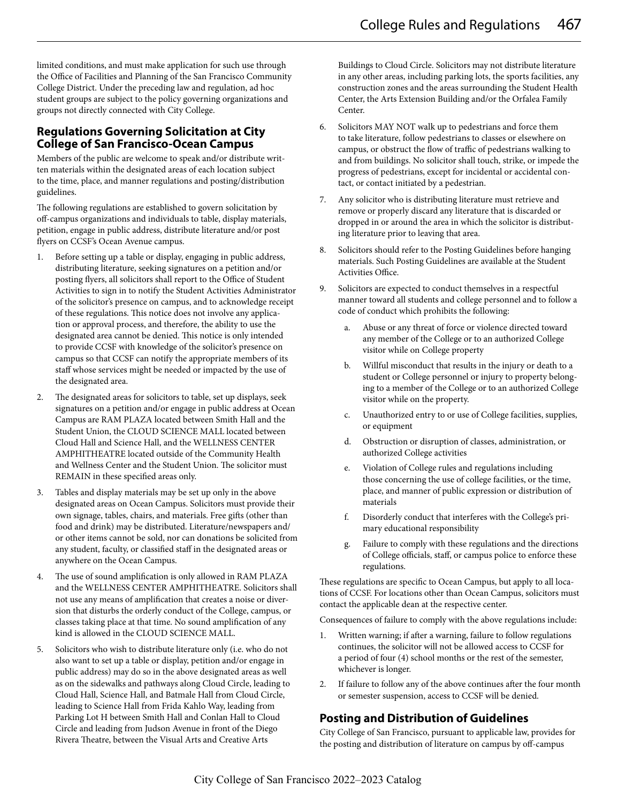limited conditions, and must make application for such use through the Office of Facilities and Planning of the San Francisco Community College District. Under the preceding law and regulation, ad hoc student groups are subject to the policy governing organizations and groups not directly connected with City College.

### **Regulations Governing Solicitation at City College of San Francisco-Ocean Campus**

Members of the public are welcome to speak and/or distribute written materials within the designated areas of each location subject to the time, place, and manner regulations and posting/distribution guidelines.

The following regulations are established to govern solicitation by off-campus organizations and individuals to table, display materials, petition, engage in public address, distribute literature and/or post flyers on CCSF's Ocean Avenue campus.

- 1. Before setting up a table or display, engaging in public address, distributing literature, seeking signatures on a petition and/or posting flyers, all solicitors shall report to the Office of Student Activities to sign in to notify the Student Activities Administrator of the solicitor's presence on campus, and to acknowledge receipt of these regulations. This notice does not involve any application or approval process, and therefore, the ability to use the designated area cannot be denied. This notice is only intended to provide CCSF with knowledge of the solicitor's presence on campus so that CCSF can notify the appropriate members of its staff whose services might be needed or impacted by the use of the designated area.
- 2. The designated areas for solicitors to table, set up displays, seek signatures on a petition and/or engage in public address at Ocean Campus are RAM PLAZA located between Smith Hall and the Student Union, the CLOUD SCIENCE MALL located between Cloud Hall and Science Hall, and the WELLNESS CENTER AMPHITHEATRE located outside of the Community Health and Wellness Center and the Student Union. The solicitor must REMAIN in these specified areas only.
- 3. Tables and display materials may be set up only in the above designated areas on Ocean Campus. Solicitors must provide their own signage, tables, chairs, and materials. Free gifts (other than food and drink) may be distributed. Literature/newspapers and/ or other items cannot be sold, nor can donations be solicited from any student, faculty, or classified staff in the designated areas or anywhere on the Ocean Campus.
- 4. The use of sound amplification is only allowed in RAM PLAZA and the WELLNESS CENTER AMPHITHEATRE. Solicitors shall not use any means of amplification that creates a noise or diversion that disturbs the orderly conduct of the College, campus, or classes taking place at that time. No sound amplification of any kind is allowed in the CLOUD SCIENCE MALL.
- 5. Solicitors who wish to distribute literature only (i.e. who do not also want to set up a table or display, petition and/or engage in public address) may do so in the above designated areas as well as on the sidewalks and pathways along Cloud Circle, leading to Cloud Hall, Science Hall, and Batmale Hall from Cloud Circle, leading to Science Hall from Frida Kahlo Way, leading from Parking Lot H between Smith Hall and Conlan Hall to Cloud Circle and leading from Judson Avenue in front of the Diego Rivera Theatre, between the Visual Arts and Creative Arts

Buildings to Cloud Circle. Solicitors may not distribute literature in any other areas, including parking lots, the sports facilities, any construction zones and the areas surrounding the Student Health Center, the Arts Extension Building and/or the Orfalea Family Center.

- 6. Solicitors MAY NOT walk up to pedestrians and force them to take literature, follow pedestrians to classes or elsewhere on campus, or obstruct the flow of traffic of pedestrians walking to and from buildings. No solicitor shall touch, strike, or impede the progress of pedestrians, except for incidental or accidental contact, or contact initiated by a pedestrian.
- 7. Any solicitor who is distributing literature must retrieve and remove or properly discard any literature that is discarded or dropped in or around the area in which the solicitor is distributing literature prior to leaving that area.
- 8. Solicitors should refer to the Posting Guidelines before hanging materials. Such Posting Guidelines are available at the Student Activities Office.
- 9. Solicitors are expected to conduct themselves in a respectful manner toward all students and college personnel and to follow a code of conduct which prohibits the following:
	- a. Abuse or any threat of force or violence directed toward any member of the College or to an authorized College visitor while on College property
	- b. Willful misconduct that results in the injury or death to a student or College personnel or injury to property belonging to a member of the College or to an authorized College visitor while on the property.
	- c. Unauthorized entry to or use of College facilities, supplies, or equipment
	- d. Obstruction or disruption of classes, administration, or authorized College activities
	- e. Violation of College rules and regulations including those concerning the use of college facilities, or the time, place, and manner of public expression or distribution of materials
	- f. Disorderly conduct that interferes with the College's primary educational responsibility
	- g. Failure to comply with these regulations and the directions of College officials, staff, or campus police to enforce these regulations.

These regulations are specific to Ocean Campus, but apply to all locations of CCSF. For locations other than Ocean Campus, solicitors must contact the applicable dean at the respective center.

Consequences of failure to comply with the above regulations include:

- 1. Written warning; if after a warning, failure to follow regulations continues, the solicitor will not be allowed access to CCSF for a period of four (4) school months or the rest of the semester, whichever is longer.
- 2. If failure to follow any of the above continues after the four month or semester suspension, access to CCSF will be denied.

# **Posting and Distribution of Guidelines**

City College of San Francisco, pursuant to applicable law, provides for the posting and distribution of literature on campus by off-campus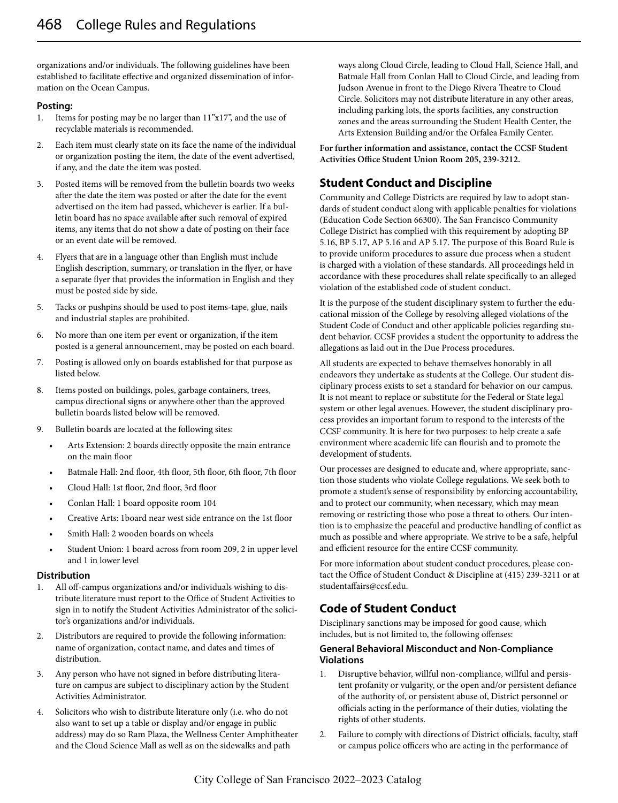organizations and/or individuals. The following guidelines have been established to facilitate effective and organized dissemination of information on the Ocean Campus.

#### **Posting:**

- 1. Items for posting may be no larger than 11"x17", and the use of recyclable materials is recommended.
- 2. Each item must clearly state on its face the name of the individual or organization posting the item, the date of the event advertised, if any, and the date the item was posted.
- 3. Posted items will be removed from the bulletin boards two weeks after the date the item was posted or after the date for the event advertised on the item had passed, whichever is earlier. If a bulletin board has no space available after such removal of expired items, any items that do not show a date of posting on their face or an event date will be removed.
- 4. Flyers that are in a language other than English must include English description, summary, or translation in the flyer, or have a separate flyer that provides the information in English and they must be posted side by side.
- 5. Tacks or pushpins should be used to post items-tape, glue, nails and industrial staples are prohibited.
- 6. No more than one item per event or organization, if the item posted is a general announcement, may be posted on each board.
- 7. Posting is allowed only on boards established for that purpose as listed below.
- 8. Items posted on buildings, poles, garbage containers, trees, campus directional signs or anywhere other than the approved bulletin boards listed below will be removed.
- 9. Bulletin boards are located at the following sites:
	- Arts Extension: 2 boards directly opposite the main entrance on the main floor
	- Batmale Hall: 2nd floor, 4th floor, 5th floor, 6th floor, 7th floor
	- Cloud Hall: 1st floor, 2nd floor, 3rd floor
	- Conlan Hall: 1 board opposite room 104
	- Creative Arts: 1board near west side entrance on the 1st floor
	- Smith Hall: 2 wooden boards on wheels
	- Student Union: 1 board across from room 209, 2 in upper level and 1 in lower level

#### **Distribution**

- 1. All off-campus organizations and/or individuals wishing to distribute literature must report to the Office of Student Activities to sign in to notify the Student Activities Administrator of the solicitor's organizations and/or individuals.
- 2. Distributors are required to provide the following information: name of organization, contact name, and dates and times of distribution.
- 3. Any person who have not signed in before distributing literature on campus are subject to disciplinary action by the Student Activities Administrator.
- 4. Solicitors who wish to distribute literature only (i.e. who do not also want to set up a table or display and/or engage in public address) may do so Ram Plaza, the Wellness Center Amphitheater and the Cloud Science Mall as well as on the sidewalks and path

ways along Cloud Circle, leading to Cloud Hall, Science Hall, and Batmale Hall from Conlan Hall to Cloud Circle, and leading from Judson Avenue in front to the Diego Rivera Theatre to Cloud Circle. Solicitors may not distribute literature in any other areas, including parking lots, the sports facilities, any construction zones and the areas surrounding the Student Health Center, the Arts Extension Building and/or the Orfalea Family Center.

**For further information and assistance, contact the CCSF Student Activities Office Student Union Room 205, 239-3212.**

# **Student Conduct and Discipline**

Community and College Districts are required by law to adopt standards of student conduct along with applicable penalties for violations (Education Code Section 66300). The San Francisco Community College District has complied with this requirement by adopting BP 5.16, BP 5.17, AP 5.16 and AP 5.17. The purpose of this Board Rule is to provide uniform procedures to assure due process when a student is charged with a violation of these standards. All proceedings held in accordance with these procedures shall relate specifically to an alleged violation of the established code of student conduct.

It is the purpose of the student disciplinary system to further the educational mission of the College by resolving alleged violations of the Student Code of Conduct and other applicable policies regarding student behavior. CCSF provides a student the opportunity to address the allegations as laid out in the Due Process procedures.

All students are expected to behave themselves honorably in all endeavors they undertake as students at the College. Our student disciplinary process exists to set a standard for behavior on our campus. It is not meant to replace or substitute for the Federal or State legal system or other legal avenues. However, the student disciplinary process provides an important forum to respond to the interests of the CCSF community. It is here for two purposes: to help create a safe environment where academic life can flourish and to promote the development of students.

Our processes are designed to educate and, where appropriate, sanction those students who violate College regulations. We seek both to promote a student's sense of responsibility by enforcing accountability, and to protect our community, when necessary, which may mean removing or restricting those who pose a threat to others. Our intention is to emphasize the peaceful and productive handling of conflict as much as possible and where appropriate. We strive to be a safe, helpful and efficient resource for the entire CCSF community.

For more information about student conduct procedures, please contact the Office of Student Conduct & Discipline at (415) 239-3211 or at studentaffairs@ccsf.edu.

# **Code of Student Conduct**

Disciplinary sanctions may be imposed for good cause, which includes, but is not limited to, the following offenses:

#### **General Behavioral Misconduct and Non-Compliance Violations**

- 1. Disruptive behavior, willful non-compliance, willful and persistent profanity or vulgarity, or the open and/or persistent defiance of the authority of, or persistent abuse of, District personnel or officials acting in the performance of their duties, violating the rights of other students.
- 2. Failure to comply with directions of District officials, faculty, staff or campus police officers who are acting in the performance of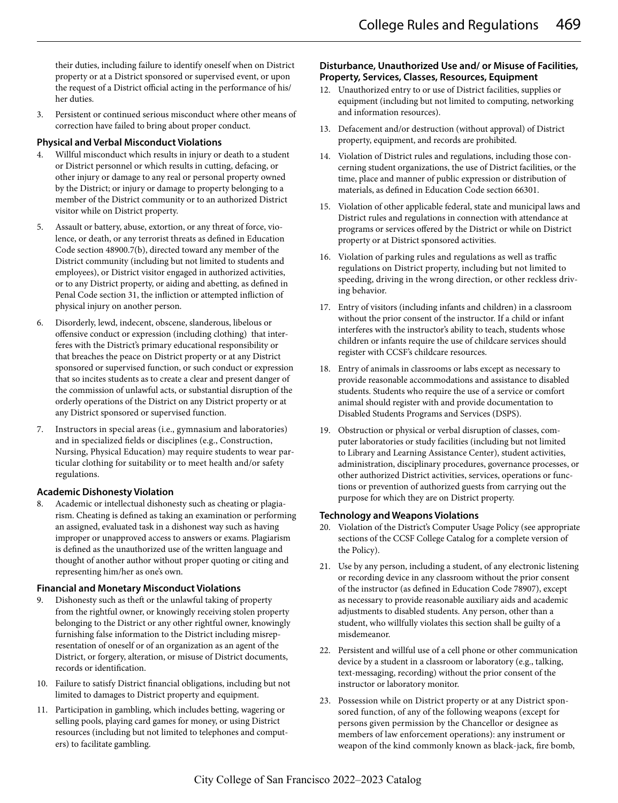their duties, including failure to identify oneself when on District property or at a District sponsored or supervised event, or upon the request of a District official acting in the performance of his/ her duties.

3. Persistent or continued serious misconduct where other means of correction have failed to bring about proper conduct.

#### **Physical and Verbal Misconduct Violations**

- 4. Willful misconduct which results in injury or death to a student or District personnel or which results in cutting, defacing, or other injury or damage to any real or personal property owned by the District; or injury or damage to property belonging to a member of the District community or to an authorized District visitor while on District property.
- 5. Assault or battery, abuse, extortion, or any threat of force, violence, or death, or any terrorist threats as defined in Education Code section 48900.7(b), directed toward any member of the District community (including but not limited to students and employees), or District visitor engaged in authorized activities, or to any District property, or aiding and abetting, as defined in Penal Code section 31, the infliction or attempted infliction of physical injury on another person.
- 6. Disorderly, lewd, indecent, obscene, slanderous, libelous or offensive conduct or expression (including clothing) that interferes with the District's primary educational responsibility or that breaches the peace on District property or at any District sponsored or supervised function, or such conduct or expression that so incites students as to create a clear and present danger of the commission of unlawful acts, or substantial disruption of the orderly operations of the District on any District property or at any District sponsored or supervised function.
- 7. Instructors in special areas (i.e., gymnasium and laboratories) and in specialized fields or disciplines (e.g., Construction, Nursing, Physical Education) may require students to wear particular clothing for suitability or to meet health and/or safety regulations.

#### **Academic Dishonesty Violation**

8. Academic or intellectual dishonesty such as cheating or plagiarism. Cheating is defined as taking an examination or performing an assigned, evaluated task in a dishonest way such as having improper or unapproved access to answers or exams. Plagiarism is defined as the unauthorized use of the written language and thought of another author without proper quoting or citing and representing him/her as one's own.

#### **Financial and Monetary Misconduct Violations**

- 9. Dishonesty such as theft or the unlawful taking of property from the rightful owner, or knowingly receiving stolen property belonging to the District or any other rightful owner, knowingly furnishing false information to the District including misrepresentation of oneself or of an organization as an agent of the District, or forgery, alteration, or misuse of District documents, records or identification.
- 10. Failure to satisfy District financial obligations, including but not limited to damages to District property and equipment.
- 11. Participation in gambling, which includes betting, wagering or selling pools, playing card games for money, or using District resources (including but not limited to telephones and computers) to facilitate gambling.

#### **Disturbance, Unauthorized Use and/ or Misuse of Facilities, Property, Services, Classes, Resources, Equipment**

- 12. Unauthorized entry to or use of District facilities, supplies or equipment (including but not limited to computing, networking and information resources).
- 13. Defacement and/or destruction (without approval) of District property, equipment, and records are prohibited.
- 14. Violation of District rules and regulations, including those concerning student organizations, the use of District facilities, or the time, place and manner of public expression or distribution of materials, as defined in Education Code section 66301.
- 15. Violation of other applicable federal, state and municipal laws and District rules and regulations in connection with attendance at programs or services offered by the District or while on District property or at District sponsored activities.
- 16. Violation of parking rules and regulations as well as traffic regulations on District property, including but not limited to speeding, driving in the wrong direction, or other reckless driving behavior.
- 17. Entry of visitors (including infants and children) in a classroom without the prior consent of the instructor. If a child or infant interferes with the instructor's ability to teach, students whose children or infants require the use of childcare services should register with CCSF's childcare resources.
- 18. Entry of animals in classrooms or labs except as necessary to provide reasonable accommodations and assistance to disabled students. Students who require the use of a service or comfort animal should register with and provide documentation to Disabled Students Programs and Services (DSPS).
- 19. Obstruction or physical or verbal disruption of classes, computer laboratories or study facilities (including but not limited to Library and Learning Assistance Center), student activities, administration, disciplinary procedures, governance processes, or other authorized District activities, services, operations or functions or prevention of authorized guests from carrying out the purpose for which they are on District property.

### **Technology and Weapons Violations**

- 20. Violation of the District's Computer Usage Policy (see appropriate sections of the CCSF College Catalog for a complete version of the Policy).
- 21. Use by any person, including a student, of any electronic listening or recording device in any classroom without the prior consent of the instructor (as defined in Education Code 78907), except as necessary to provide reasonable auxiliary aids and academic adjustments to disabled students. Any person, other than a student, who willfully violates this section shall be guilty of a misdemeanor.
- 22. Persistent and willful use of a cell phone or other communication device by a student in a classroom or laboratory (e.g., talking, text-messaging, recording) without the prior consent of the instructor or laboratory monitor.
- 23. Possession while on District property or at any District sponsored function, of any of the following weapons (except for persons given permission by the Chancellor or designee as members of law enforcement operations): any instrument or weapon of the kind commonly known as black-jack, fire bomb,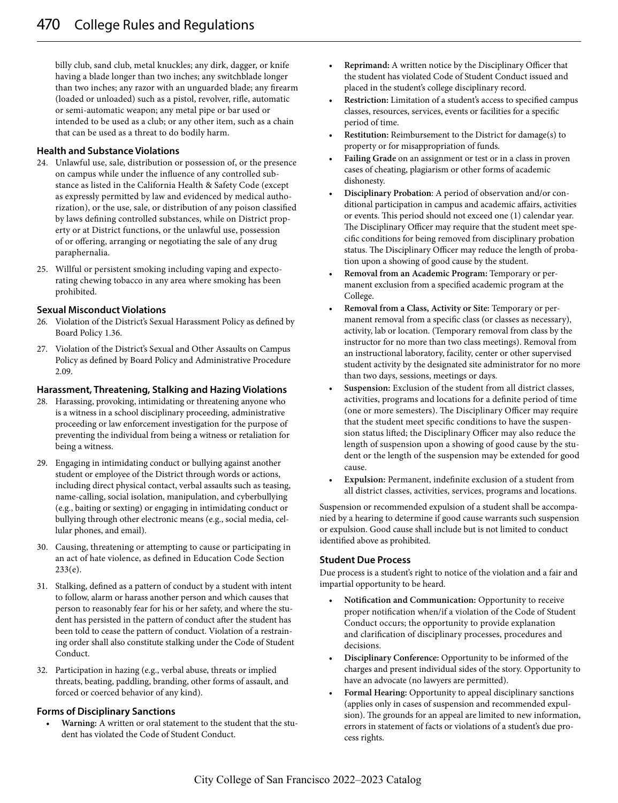billy club, sand club, metal knuckles; any dirk, dagger, or knife having a blade longer than two inches; any switchblade longer than two inches; any razor with an unguarded blade; any firearm (loaded or unloaded) such as a pistol, revolver, rifle, automatic or semi-automatic weapon; any metal pipe or bar used or intended to be used as a club; or any other item, such as a chain that can be used as a threat to do bodily harm.

#### **Health and Substance Violations**

- 24. Unlawful use, sale, distribution or possession of, or the presence on campus while under the influence of any controlled substance as listed in the California Health & Safety Code (except as expressly permitted by law and evidenced by medical authorization), or the use, sale, or distribution of any poison classified by laws defining controlled substances, while on District property or at District functions, or the unlawful use, possession of or offering, arranging or negotiating the sale of any drug paraphernalia.
- 25. Willful or persistent smoking including vaping and expectorating chewing tobacco in any area where smoking has been prohibited.

#### **Sexual Misconduct Violations**

- 26. Violation of the District's Sexual Harassment Policy as defined by Board Policy 1.36.
- 27. Violation of the District's Sexual and Other Assaults on Campus Policy as defined by Board Policy and Administrative Procedure 2.09.

#### **Harassment, Threatening, Stalking and Hazing Violations**

- 28. Harassing, provoking, intimidating or threatening anyone who is a witness in a school disciplinary proceeding, administrative proceeding or law enforcement investigation for the purpose of preventing the individual from being a witness or retaliation for being a witness.
- 29. Engaging in intimidating conduct or bullying against another student or employee of the District through words or actions, including direct physical contact, verbal assaults such as teasing, name-calling, social isolation, manipulation, and cyberbullying (e.g., baiting or sexting) or engaging in intimidating conduct or bullying through other electronic means (e.g., social media, cellular phones, and email).
- 30. Causing, threatening or attempting to cause or participating in an act of hate violence, as defined in Education Code Section 233(e).
- 31. Stalking, defined as a pattern of conduct by a student with intent to follow, alarm or harass another person and which causes that person to reasonably fear for his or her safety, and where the student has persisted in the pattern of conduct after the student has been told to cease the pattern of conduct. Violation of a restraining order shall also constitute stalking under the Code of Student Conduct.
- 32. Participation in hazing (e.g., verbal abuse, threats or implied threats, beating, paddling, branding, other forms of assault, and forced or coerced behavior of any kind).

#### **Forms of Disciplinary Sanctions**

• **Warning:** A written or oral statement to the student that the student has violated the Code of Student Conduct.

- **Reprimand:** A written notice by the Disciplinary Officer that the student has violated Code of Student Conduct issued and placed in the student's college disciplinary record.
- **Restriction:** Limitation of a student's access to specified campus classes, resources, services, events or facilities for a specific period of time.
- **Restitution:** Reimbursement to the District for damage(s) to property or for misappropriation of funds.
- **Failing Grade** on an assignment or test or in a class in proven cases of cheating, plagiarism or other forms of academic dishonesty.
- **Disciplinary Probation**: A period of observation and/or conditional participation in campus and academic affairs, activities or events. This period should not exceed one (1) calendar year. The Disciplinary Officer may require that the student meet specific conditions for being removed from disciplinary probation status. The Disciplinary Officer may reduce the length of probation upon a showing of good cause by the student.
- **Removal from an Academic Program:** Temporary or permanent exclusion from a specified academic program at the College.
- **Removal from a Class, Activity or Site:** Temporary or permanent removal from a specific class (or classes as necessary), activity, lab or location. (Temporary removal from class by the instructor for no more than two class meetings). Removal from an instructional laboratory, facility, center or other supervised student activity by the designated site administrator for no more than two days, sessions, meetings or days.
- **Suspension:** Exclusion of the student from all district classes, activities, programs and locations for a definite period of time (one or more semesters). The Disciplinary Officer may require that the student meet specific conditions to have the suspension status lifted; the Disciplinary Officer may also reduce the length of suspension upon a showing of good cause by the student or the length of the suspension may be extended for good cause.
- **Expulsion:** Permanent, indefinite exclusion of a student from all district classes, activities, services, programs and locations.

Suspension or recommended expulsion of a student shall be accompanied by a hearing to determine if good cause warrants such suspension or expulsion. Good cause shall include but is not limited to conduct identified above as prohibited.

#### **Student Due Process**

Due process is a student's right to notice of the violation and a fair and impartial opportunity to be heard.

- **Notification and Communication:** Opportunity to receive proper notification when/if a violation of the Code of Student Conduct occurs; the opportunity to provide explanation and clarification of disciplinary processes, procedures and decisions.
- **Disciplinary Conference:** Opportunity to be informed of the charges and present individual sides of the story. Opportunity to have an advocate (no lawyers are permitted).
- **Formal Hearing:** Opportunity to appeal disciplinary sanctions (applies only in cases of suspension and recommended expulsion). The grounds for an appeal are limited to new information, errors in statement of facts or violations of a student's due process rights.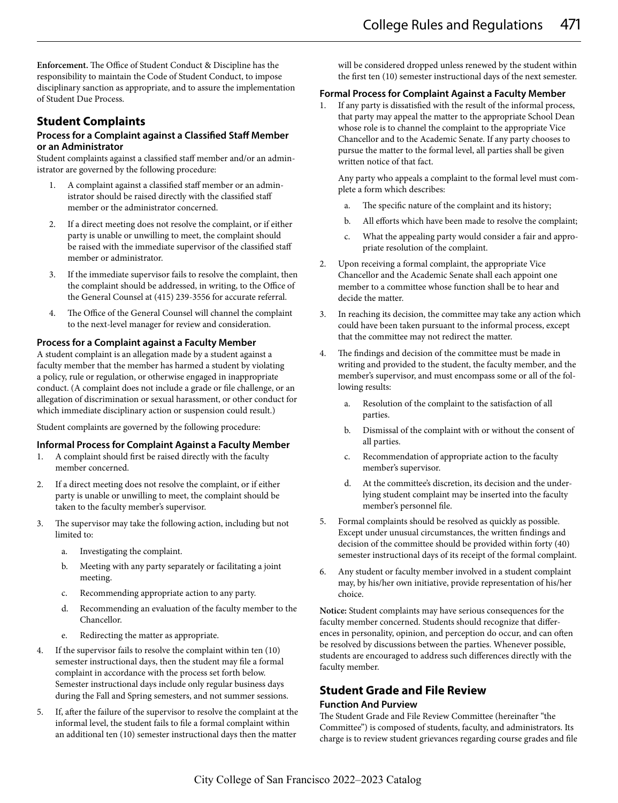**Enforcement.** The Office of Student Conduct & Discipline has the responsibility to maintain the Code of Student Conduct, to impose disciplinary sanction as appropriate, and to assure the implementation of Student Due Process.

### **Student Complaints**

#### **Process for a Complaint against a Classified Staff Member or an Administrator**

Student complaints against a classified staff member and/or an administrator are governed by the following procedure:

- 1. A complaint against a classified staff member or an administrator should be raised directly with the classified staff member or the administrator concerned.
- 2. If a direct meeting does not resolve the complaint, or if either party is unable or unwilling to meet, the complaint should be raised with the immediate supervisor of the classified staff member or administrator.
- 3. If the immediate supervisor fails to resolve the complaint, then the complaint should be addressed, in writing, to the Office of the General Counsel at (415) 239-3556 for accurate referral.
- 4. The Office of the General Counsel will channel the complaint to the next-level manager for review and consideration.

#### **Process for a Complaint against a Faculty Member**

A student complaint is an allegation made by a student against a faculty member that the member has harmed a student by violating a policy, rule or regulation, or otherwise engaged in inappropriate conduct. (A complaint does not include a grade or file challenge, or an allegation of discrimination or sexual harassment, or other conduct for which immediate disciplinary action or suspension could result.)

Student complaints are governed by the following procedure:

#### **Informal Process for Complaint Against a Faculty Member**

- 1. A complaint should first be raised directly with the faculty member concerned.
- 2. If a direct meeting does not resolve the complaint, or if either party is unable or unwilling to meet, the complaint should be taken to the faculty member's supervisor.
- 3. The supervisor may take the following action, including but not limited to:
	- a. Investigating the complaint.
	- b. Meeting with any party separately or facilitating a joint meeting.
	- c. Recommending appropriate action to any party.
	- d. Recommending an evaluation of the faculty member to the Chancellor.
	- e. Redirecting the matter as appropriate.
- 4. If the supervisor fails to resolve the complaint within ten (10) semester instructional days, then the student may file a formal complaint in accordance with the process set forth below. Semester instructional days include only regular business days during the Fall and Spring semesters, and not summer sessions.
- 5. If, after the failure of the supervisor to resolve the complaint at the informal level, the student fails to file a formal complaint within an additional ten (10) semester instructional days then the matter

will be considered dropped unless renewed by the student within the first ten (10) semester instructional days of the next semester.

#### **Formal Process for Complaint Against a Faculty Member**

If any party is dissatisfied with the result of the informal process, that party may appeal the matter to the appropriate School Dean whose role is to channel the complaint to the appropriate Vice Chancellor and to the Academic Senate. If any party chooses to pursue the matter to the formal level, all parties shall be given written notice of that fact.

Any party who appeals a complaint to the formal level must complete a form which describes:

- The specific nature of the complaint and its history;
- b. All efforts which have been made to resolve the complaint;
- c. What the appealing party would consider a fair and appropriate resolution of the complaint.
- 2. Upon receiving a formal complaint, the appropriate Vice Chancellor and the Academic Senate shall each appoint one member to a committee whose function shall be to hear and decide the matter.
- 3. In reaching its decision, the committee may take any action which could have been taken pursuant to the informal process, except that the committee may not redirect the matter.
- 4. The findings and decision of the committee must be made in writing and provided to the student, the faculty member, and the member's supervisor, and must encompass some or all of the following results:
	- a. Resolution of the complaint to the satisfaction of all parties.
	- b. Dismissal of the complaint with or without the consent of all parties.
	- c. Recommendation of appropriate action to the faculty member's supervisor.
	- d. At the committee's discretion, its decision and the underlying student complaint may be inserted into the faculty member's personnel file.
- 5. Formal complaints should be resolved as quickly as possible. Except under unusual circumstances, the written findings and decision of the committee should be provided within forty (40) semester instructional days of its receipt of the formal complaint.
- 6. Any student or faculty member involved in a student complaint may, by his/her own initiative, provide representation of his/her choice.

**Notice:** Student complaints may have serious consequences for the faculty member concerned. Students should recognize that differences in personality, opinion, and perception do occur, and can often be resolved by discussions between the parties. Whenever possible, students are encouraged to address such differences directly with the faculty member.

## **Student Grade and File Review Function And Purview**

The Student Grade and File Review Committee (hereinafter "the Committee") is composed of students, faculty, and administrators. Its charge is to review student grievances regarding course grades and file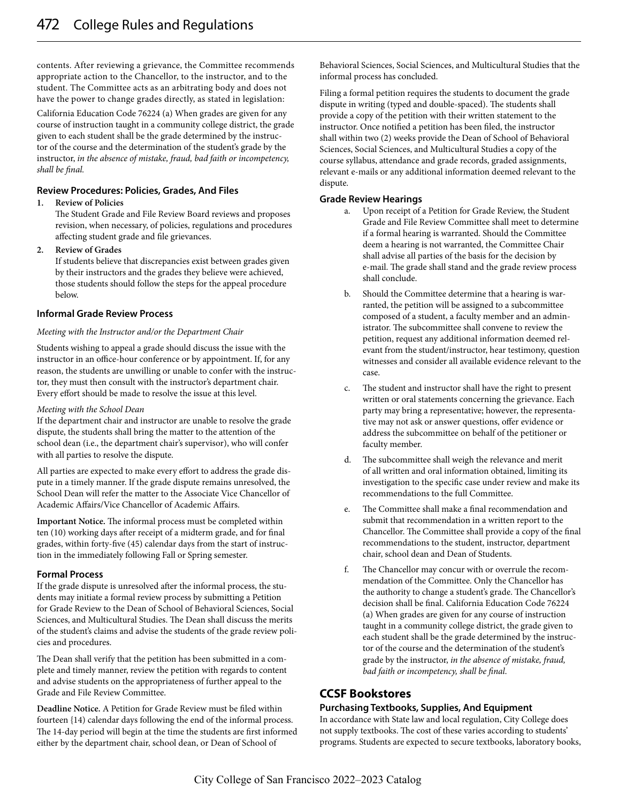contents. After reviewing a grievance, the Committee recommends appropriate action to the Chancellor, to the instructor, and to the student. The Committee acts as an arbitrating body and does not have the power to change grades directly, as stated in legislation:

California Education Code 76224 (a) When grades are given for any course of instruction taught in a community college district, the grade given to each student shall be the grade determined by the instructor of the course and the determination of the student's grade by the instructor, *in the absence of mistake, fraud, bad faith or incompetency, shall be final.*

#### **Review Procedures: Policies, Grades, And Files**

#### **1. Review of Policies**

The Student Grade and File Review Board reviews and proposes revision, when necessary, of policies, regulations and procedures affecting student grade and file grievances.

#### **2. Review of Grades**

If students believe that discrepancies exist between grades given by their instructors and the grades they believe were achieved, those students should follow the steps for the appeal procedure below.

#### **Informal Grade Review Process**

#### *Meeting with the Instructor and/or the Department Chair*

Students wishing to appeal a grade should discuss the issue with the instructor in an office-hour conference or by appointment. If, for any reason, the students are unwilling or unable to confer with the instructor, they must then consult with the instructor's department chair. Every effort should be made to resolve the issue at this level.

#### *Meeting with the School Dean*

If the department chair and instructor are unable to resolve the grade dispute, the students shall bring the matter to the attention of the school dean (i.e., the department chair's supervisor), who will confer with all parties to resolve the dispute.

All parties are expected to make every effort to address the grade dispute in a timely manner. If the grade dispute remains unresolved, the School Dean will refer the matter to the Associate Vice Chancellor of Academic Affairs/Vice Chancellor of Academic Affairs.

**Important Notice.** The informal process must be completed within ten (10) working days after receipt of a midterm grade, and for final grades, within forty-five (45) calendar days from the start of instruction in the immediately following Fall or Spring semester.

#### **Formal Process**

If the grade dispute is unresolved after the informal process, the students may initiate a formal review process by submitting a Petition for Grade Review to the Dean of School of Behavioral Sciences, Social Sciences, and Multicultural Studies. The Dean shall discuss the merits of the student's claims and advise the students of the grade review policies and procedures.

The Dean shall verify that the petition has been submitted in a complete and timely manner, review the petition with regards to content and advise students on the appropriateness of further appeal to the Grade and File Review Committee.

**Deadline Notice.** A Petition for Grade Review must be filed within fourteen {14) calendar days following the end of the informal process. The 14-day period will begin at the time the students are first informed either by the department chair, school dean, or Dean of School of

Behavioral Sciences, Social Sciences, and Multicultural Studies that the informal process has concluded.

Filing a formal petition requires the students to document the grade dispute in writing (typed and double-spaced). The students shall provide a copy of the petition with their written statement to the instructor. Once notified a petition has been filed, the instructor shall within two (2) weeks provide the Dean of School of Behavioral Sciences, Social Sciences, and Multicultural Studies a copy of the course syllabus, attendance and grade records, graded assignments, relevant e-mails or any additional information deemed relevant to the dispute.

#### **Grade Review Hearings**

- a. Upon receipt of a Petition for Grade Review, the Student Grade and File Review Committee shall meet to determine if a formal hearing is warranted. Should the Committee deem a hearing is not warranted, the Committee Chair shall advise all parties of the basis for the decision by e-mail. The grade shall stand and the grade review process shall conclude.
- b. Should the Committee determine that a hearing is warranted, the petition will be assigned to a subcommittee composed of a student, a faculty member and an administrator. The subcommittee shall convene to review the petition, request any additional information deemed relevant from the student/instructor, hear testimony, question witnesses and consider all available evidence relevant to the case.
- c. The student and instructor shall have the right to present written or oral statements concerning the grievance. Each party may bring a representative; however, the representative may not ask or answer questions, offer evidence or address the subcommittee on behalf of the petitioner or faculty member.
- d. The subcommittee shall weigh the relevance and merit of all written and oral information obtained, limiting its investigation to the specific case under review and make its recommendations to the full Committee.
- e. The Committee shall make a final recommendation and submit that recommendation in a written report to the Chancellor. The Committee shall provide a copy of the final recommendations to the student, instructor, department chair, school dean and Dean of Students.
- f. The Chancellor may concur with or overrule the recommendation of the Committee. Only the Chancellor has the authority to change a student's grade. The Chancellor's decision shall be final. California Education Code 76224 (a) When grades are given for any course of instruction taught in a community college district, the grade given to each student shall be the grade determined by the instructor of the course and the determination of the student's grade by the instructor, *in the absence of mistake, fraud, bad faith or incompetency, shall be final*.

### **CCSF Bookstores**

#### **Purchasing Textbooks, Supplies, And Equipment**

In accordance with State law and local regulation, City College does not supply textbooks. The cost of these varies according to students' programs. Students are expected to secure textbooks, laboratory books,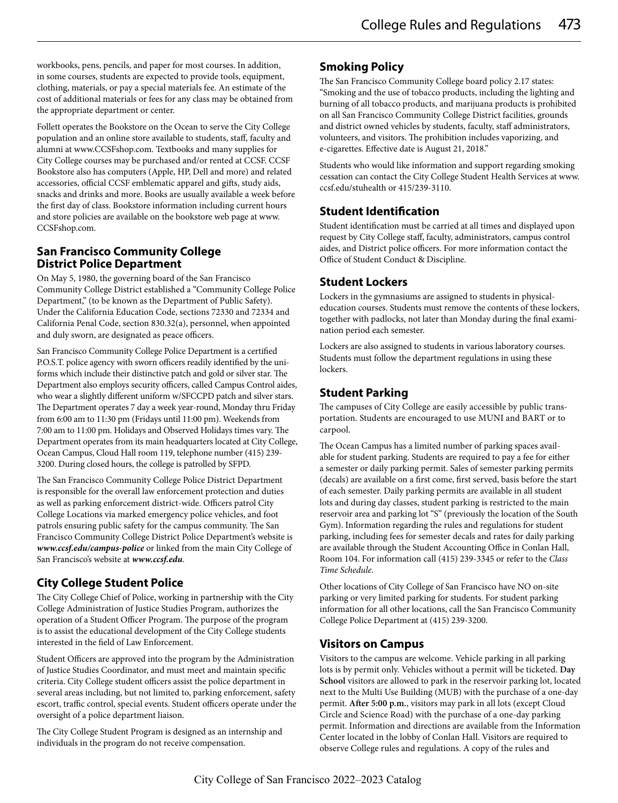workbooks, pens, pencils, and paper for most courses. In addition, in some courses, students are expected to provide tools, equipment, clothing, materials, or pay a special materials fee. An estimate of the cost of additional materials or fees for any class may be obtained from the appropriate department or center.

Follett operates the Bookstore on the Ocean to serve the City College population and an online store available to students, staff, faculty and alumni at www.CCSFshop.com. Textbooks and many supplies for City College courses may be purchased and/or rented at CCSF. CCSF Bookstore also has computers (Apple, HP, Dell and more) and related accessories, official CCSF emblematic apparel and gifts, study aids, snacks and drinks and more. Books are usually available a week before the first day of class. Bookstore information including current hours and store policies are available on the bookstore web page at www. CCSFshop.com.

### **San Francisco Community College District Police Department**

On May 5, 1980, the governing board of the San Francisco Community College District established a "Community College Police Department," (to be known as the Department of Public Safety). Under the California Education Code, sections 72330 and 72334 and California Penal Code, section 830.32(a), personnel, when appointed and duly sworn, are designated as peace officers.

San Francisco Community College Police Department is a certified P.O.S.T. police agency with sworn officers readily identified by the uniforms which include their distinctive patch and gold or silver star. The Department also employs security officers, called Campus Control aides, who wear a slightly different uniform w/SFCCPD patch and silver stars. The Department operates 7 day a week year-round, Monday thru Friday from 6:00 am to 11:30 pm (Fridays until 11:00 pm). Weekends from 7:00 am to 11:00 pm. Holidays and Observed Holidays times vary. The Department operates from its main headquarters located at City College, Ocean Campus, Cloud Hall room 119, telephone number (415) 239- 3200. During closed hours, the college is patrolled by SFPD.

The San Francisco Community College Police District Department is responsible for the overall law enforcement protection and duties as well as parking enforcement district-wide. Officers patrol City College Locations via marked emergency police vehicles, and foot patrols ensuring public safety for the campus community. The San Francisco Community College District Police Department's website is *www.ccsf.edu/campus-police* or linked from the main City College of San Francisco's website at *www.ccsf.edu*.

# **City College Student Police**

The City College Chief of Police, working in partnership with the City College Administration of Justice Studies Program, authorizes the operation of a Student Officer Program. The purpose of the program is to assist the educational development of the City College students interested in the field of Law Enforcement.

Student Officers are approved into the program by the Administration of Justice Studies Coordinator, and must meet and maintain specific criteria. City College student officers assist the police department in several areas including, but not limited to, parking enforcement, safety escort, traffic control, special events. Student officers operate under the oversight of a police department liaison.

The City College Student Program is designed as an internship and individuals in the program do not receive compensation.

# **Smoking Policy**

The San Francisco Community College board policy 2.17 states: "Smoking and the use of tobacco products, including the lighting and burning of all tobacco products, and marijuana products is prohibited on all San Francisco Community College District facilities, grounds and district owned vehicles by students, faculty, staff administrators, volunteers, and visitors. The prohibition includes vaporizing, and e-cigarettes. Effective date is August 21, 2018."

Students who would like information and support regarding smoking cessation can contact the City College Student Health Services at www. ccsf.edu/stuhealth or 415/239-3110.

# **Student Identification**

Student identification must be carried at all times and displayed upon request by City College staff, faculty, administrators, campus control aides, and District police officers. For more information contact the Office of Student Conduct & Discipline.

# **Student Lockers**

Lockers in the gymnasiums are assigned to students in physicaleducation courses. Students must remove the contents of these lockers, together with padlocks, not later than Monday during the final examination period each semester.

Lockers are also assigned to students in various laboratory courses. Students must follow the department regulations in using these lockers.

# **Student Parking**

The campuses of City College are easily accessible by public transportation. Students are encouraged to use MUNI and BART or to carpool.

The Ocean Campus has a limited number of parking spaces available for student parking. Students are required to pay a fee for either a semester or daily parking permit. Sales of semester parking permits (decals) are available on a first come, first served, basis before the start of each semester. Daily parking permits are available in all student lots and during day classes, student parking is restricted to the main reservoir area and parking lot "S" (previously the location of the South Gym). Information regarding the rules and regulations for student parking, including fees for semester decals and rates for daily parking are available through the Student Accounting Office in Conlan Hall, Room 104. For information call (415) 239-3345 or refer to the *Class Time Schedule*.

Other locations of City College of San Francisco have NO on-site parking or very limited parking for students. For student parking information for all other locations, call the San Francisco Community College Police Department at (415) 239-3200.

# **Visitors on Campus**

Visitors to the campus are welcome. Vehicle parking in all parking lots is by permit only. Vehicles without a permit will be ticketed. **Day School** visitors are allowed to park in the reservoir parking lot, located next to the Multi Use Building (MUB) with the purchase of a one-day permit. **After 5:00 p.m.**, visitors may park in all lots (except Cloud Circle and Science Road) with the purchase of a one-day parking permit. Information and directions are available from the Information Center located in the lobby of Conlan Hall. Visitors are required to observe College rules and regulations. A copy of the rules and